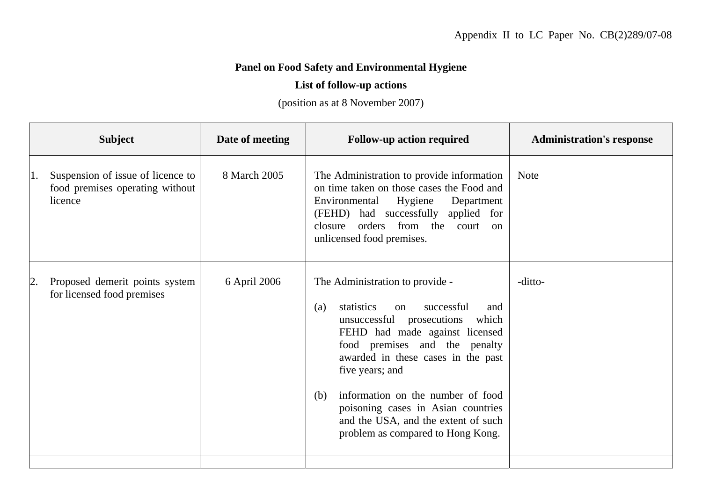## **Panel on Food Safety and Environmental Hygiene**

## **List of follow-up actions**

(position as at 8 November 2007)

| <b>Subject</b>                                                                        | Date of meeting | <b>Follow-up action required</b>                                                                                                                                                                                                                                                                                                                                                                                | <b>Administration's response</b> |
|---------------------------------------------------------------------------------------|-----------------|-----------------------------------------------------------------------------------------------------------------------------------------------------------------------------------------------------------------------------------------------------------------------------------------------------------------------------------------------------------------------------------------------------------------|----------------------------------|
| Suspension of issue of licence to<br>1.<br>food premises operating without<br>licence | 8 March 2005    | The Administration to provide information<br>on time taken on those cases the Food and<br>Hygiene<br>Environmental<br>Department<br>(FEHD) had successfully applied for<br>orders from the court<br>closure<br>$\alpha$<br>unlicensed food premises.                                                                                                                                                            | <b>Note</b>                      |
| Proposed demerit points system<br> 2.<br>for licensed food premises                   | 6 April 2006    | The Administration to provide -<br>statistics<br>successful<br>(a)<br>on<br>and<br>unsuccessful prosecutions<br>which<br>FEHD had made against licensed<br>food premises and the penalty<br>awarded in these cases in the past<br>five years; and<br>information on the number of food<br>(b)<br>poisoning cases in Asian countries<br>and the USA, and the extent of such<br>problem as compared to Hong Kong. | -ditto-                          |
|                                                                                       |                 |                                                                                                                                                                                                                                                                                                                                                                                                                 |                                  |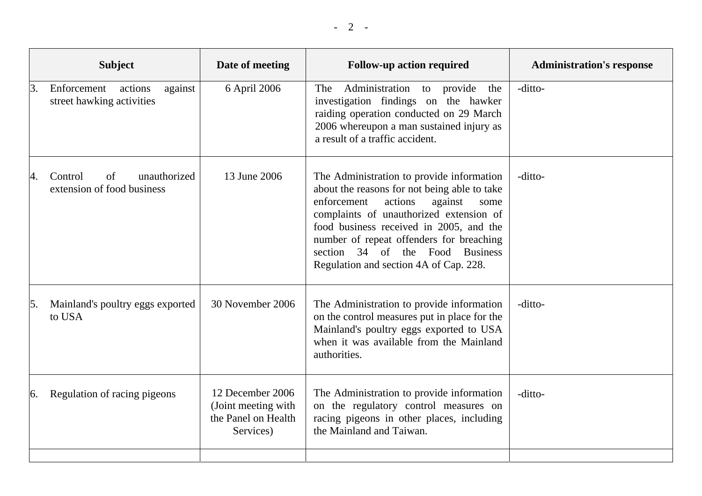|               | <b>Subject</b>                                                 | Date of meeting                                                             | <b>Follow-up action required</b>                                                                                                                                                                                                                                                                                                                      | <b>Administration's response</b> |
|---------------|----------------------------------------------------------------|-----------------------------------------------------------------------------|-------------------------------------------------------------------------------------------------------------------------------------------------------------------------------------------------------------------------------------------------------------------------------------------------------------------------------------------------------|----------------------------------|
| 3.            | actions<br>Enforcement<br>against<br>street hawking activities | 6 April 2006                                                                | Administration to provide<br>The<br>the<br>investigation findings on the hawker<br>raiding operation conducted on 29 March<br>2006 whereupon a man sustained injury as<br>a result of a traffic accident.                                                                                                                                             | -ditto-                          |
| 4.            | unauthorized<br>Control<br>of<br>extension of food business    | 13 June 2006                                                                | The Administration to provide information<br>about the reasons for not being able to take<br>actions<br>against<br>enforcement<br>some<br>complaints of unauthorized extension of<br>food business received in 2005, and the<br>number of repeat offenders for breaching<br>section 34 of the Food Business<br>Regulation and section 4A of Cap. 228. | -ditto-                          |
| 5.            | Mainland's poultry eggs exported<br>to USA                     | 30 November 2006                                                            | The Administration to provide information<br>on the control measures put in place for the<br>Mainland's poultry eggs exported to USA<br>when it was available from the Mainland<br>authorities.                                                                                                                                                       | -ditto-                          |
| <sup>6.</sup> | Regulation of racing pigeons                                   | 12 December 2006<br>(Joint meeting with<br>the Panel on Health<br>Services) | The Administration to provide information<br>on the regulatory control measures on<br>racing pigeons in other places, including<br>the Mainland and Taiwan.                                                                                                                                                                                           | -ditto-                          |
|               |                                                                |                                                                             |                                                                                                                                                                                                                                                                                                                                                       |                                  |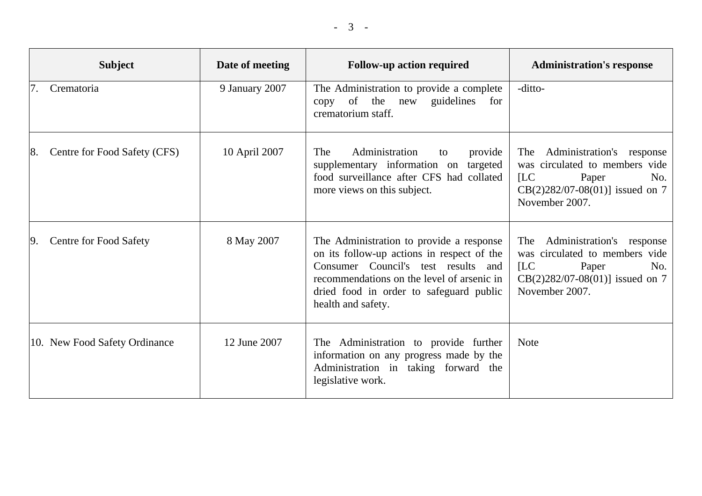|    | <b>Subject</b>                | Date of meeting | <b>Follow-up action required</b>                                                                                                                                                                                                             | <b>Administration's response</b>                                                                                                                  |
|----|-------------------------------|-----------------|----------------------------------------------------------------------------------------------------------------------------------------------------------------------------------------------------------------------------------------------|---------------------------------------------------------------------------------------------------------------------------------------------------|
|    | Crematoria                    | 9 January 2007  | The Administration to provide a complete<br>guidelines<br>copy of the new<br>for<br>crematorium staff.                                                                                                                                       | -ditto-                                                                                                                                           |
| 8. | Centre for Food Safety (CFS)  | 10 April 2007   | Administration<br><b>The</b><br>provide<br>to<br>supplementary information on targeted<br>food surveillance after CFS had collated<br>more views on this subject.                                                                            | Administration's response<br>The<br>was circulated to members vide<br>[LC]<br>Paper<br>No.<br>$CB(2)282/07-08(01)]$ issued on 7<br>November 2007. |
| 9. | <b>Centre for Food Safety</b> | 8 May 2007      | The Administration to provide a response<br>on its follow-up actions in respect of the<br>Consumer Council's test results and<br>recommendations on the level of arsenic in<br>dried food in order to safeguard public<br>health and safety. | The Administration's response<br>was circulated to members vide<br>[LC]<br>Paper<br>No.<br>$CB(2)282/07-08(01)]$ issued on 7<br>November 2007.    |
|    | 10. New Food Safety Ordinance | 12 June 2007    | The Administration to provide further<br>information on any progress made by the<br>Administration in taking forward the<br>legislative work.                                                                                                | <b>Note</b>                                                                                                                                       |